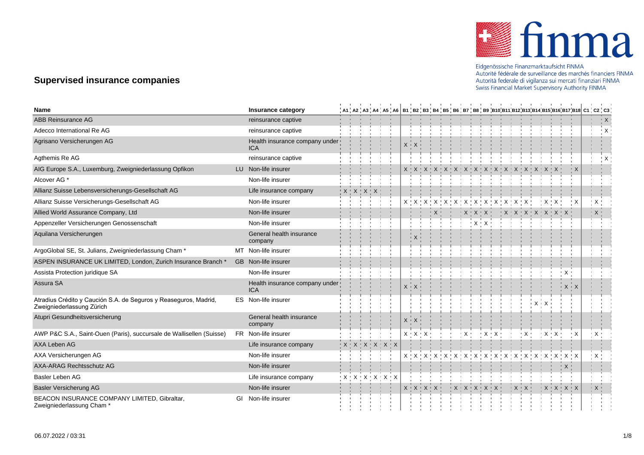

Eidgenössische Finanzmarktaufsicht FINMA<br>Autorité fédérale de surveillance des marchés financiers FINMA Autorità federale di vigilanza sui mercati finanziari FINMA Swiss Financial Market Supervisory Authority FINMA

## **Supervised insurance companies**

| <b>Name</b>                                                                                   | Insurance category                           |  |                     |                                 |  |  |                         |  |                                   |  |                                |                                                  |  | A1 ¦ A2 ¦ A3 ¦ A4 ¦ A5 ¦ A6   B1 ¦ B2 ¦ B3 ¦ B4 ¦ B5 ¦ B6 ¦ B7 ¦ B8 ¦ B9 ¦B10¦B11¦B12¦B13¦B14¦B15¦B16¦B17¦B18  C1 ¦ C2 ¦ C3 ∣ |  |
|-----------------------------------------------------------------------------------------------|----------------------------------------------|--|---------------------|---------------------------------|--|--|-------------------------|--|-----------------------------------|--|--------------------------------|--------------------------------------------------|--|-------------------------------------------------------------------------------------------------------------------------------|--|
| ABB Reinsurance AG                                                                            | reinsurance captive                          |  |                     |                                 |  |  |                         |  |                                   |  |                                |                                                  |  | $\frac{1}{1}$ X                                                                                                               |  |
| Adecco International Re AG                                                                    | reinsurance captive                          |  |                     |                                 |  |  |                         |  |                                   |  |                                |                                                  |  | $\cdot$ X                                                                                                                     |  |
| Agrisano Versicherungen AG                                                                    | Health insurance company under<br><b>ICA</b> |  |                     |                                 |  |  |                         |  |                                   |  |                                |                                                  |  |                                                                                                                               |  |
| Agthemis Re AG                                                                                | reinsurance captive                          |  |                     |                                 |  |  |                         |  |                                   |  |                                |                                                  |  | ' X                                                                                                                           |  |
| AIG Europe S.A., Luxemburg, Zweigniederlassung Opfikon                                        | LU Non-life insurer                          |  |                     |                                 |  |  |                         |  |                                   |  | X X X X X X X X X X X X        |                                                  |  |                                                                                                                               |  |
| Alcover AG *                                                                                  | Non-life insurer                             |  |                     |                                 |  |  |                         |  |                                   |  |                                |                                                  |  |                                                                                                                               |  |
| Allianz Suisse Lebensversicherungs-Gesellschaft AG                                            | Life insurance company                       |  | $X$ $X$ $X$ $X$ $X$ |                                 |  |  |                         |  |                                   |  |                                |                                                  |  |                                                                                                                               |  |
| Allianz Suisse Versicherungs-Gesellschaft AG                                                  | Non-life insurer                             |  |                     |                                 |  |  |                         |  |                                   |  |                                |                                                  |  | $\frac{1}{2}$ X                                                                                                               |  |
| Allied World Assurance Company, Ltd                                                           | Non-life insurer                             |  |                     |                                 |  |  |                         |  |                                   |  |                                | $+$ X $+$ X $+$ X $+$ X $+$ X $+$ X $+$ X $+$    |  | $\frac{1}{2}$ X $\frac{1}{2}$                                                                                                 |  |
| Appenzeller Versicherungen Genossenschaft                                                     | Non-life insurer                             |  |                     |                                 |  |  |                         |  |                                   |  |                                |                                                  |  |                                                                                                                               |  |
| Aquilana Versicherungen                                                                       | General health insurance<br>company          |  |                     |                                 |  |  |                         |  |                                   |  |                                |                                                  |  |                                                                                                                               |  |
| ArgoGlobal SE, St. Julians, Zweigniederlassung Cham *                                         | MT Non-life insurer                          |  |                     |                                 |  |  |                         |  |                                   |  |                                |                                                  |  |                                                                                                                               |  |
| ASPEN INSURANCE UK LIMITED, London, Zurich Insurance Branch *                                 | GB Non-life insurer                          |  |                     |                                 |  |  |                         |  |                                   |  |                                |                                                  |  |                                                                                                                               |  |
| Assista Protection juridique SA                                                               | Non-life insurer                             |  |                     |                                 |  |  |                         |  |                                   |  |                                |                                                  |  |                                                                                                                               |  |
| Assura SA                                                                                     | Health insurance company under<br><b>ICA</b> |  |                     |                                 |  |  |                         |  |                                   |  |                                |                                                  |  |                                                                                                                               |  |
| Atradius Crédito y Caución S.A. de Seguros y Reaseguros, Madrid,<br>Zweigniederlassung Zürich | ES Non-life insurer                          |  |                     |                                 |  |  |                         |  |                                   |  |                                |                                                  |  |                                                                                                                               |  |
| Atupri Gesundheitsversicherung                                                                | General health insurance<br>company          |  |                     |                                 |  |  |                         |  |                                   |  |                                |                                                  |  |                                                                                                                               |  |
| AWP P&C S.A., Saint-Ouen (Paris), succursale de Wallisellen (Suisse)                          | FR Non-life insurer                          |  |                     |                                 |  |  |                         |  |                                   |  |                                |                                                  |  |                                                                                                                               |  |
| AXA Leben AG                                                                                  | Life insurance company                       |  |                     | $X$ $X$ $X$ $X$ $X$ $X$ $X$ $X$ |  |  |                         |  |                                   |  |                                |                                                  |  |                                                                                                                               |  |
| AXA Versicherungen AG                                                                         | Non-life insurer                             |  |                     |                                 |  |  |                         |  |                                   |  |                                |                                                  |  |                                                                                                                               |  |
| AXA-ARAG Rechtsschutz AG                                                                      | Non-life insurer                             |  |                     |                                 |  |  |                         |  |                                   |  |                                |                                                  |  |                                                                                                                               |  |
| Basler Leben AG                                                                               | Life insurance company                       |  |                     |                                 |  |  |                         |  |                                   |  |                                |                                                  |  |                                                                                                                               |  |
| <b>Basler Versicherung AG</b>                                                                 | Non-life insurer                             |  |                     |                                 |  |  | $X$ $X$ $X$ $X$ $X$ $Y$ |  | $+$ X $+$ X $+$ X $+$ X $+$ X $+$ |  | $\mathbf{X} \times \mathbf{X}$ | $\mathsf{X} \times \mathsf{X} \times \mathsf{X}$ |  | $\mathsf{X}$                                                                                                                  |  |
| BEACON INSURANCE COMPANY LIMITED, Gibraltar,<br>Zweigniederlassung Cham*                      | Non-life insurer<br>Gl                       |  |                     |                                 |  |  |                         |  |                                   |  |                                |                                                  |  |                                                                                                                               |  |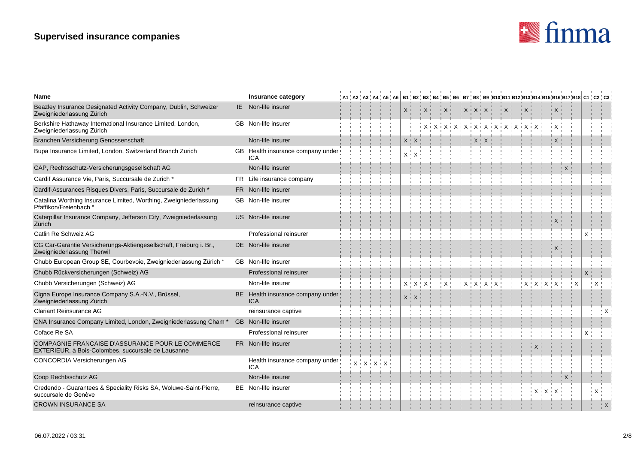# **Supervised insurance companies**



| Name                                                                                                   | Insurance category                              |  |  |  |                                   |  |      |  |                 |                     |                              |  |  |  |    | , A1 , A2 , A3 , A4 , A5 , A6   B1 , B2 , B3 , B4 , B5 , B6 , B7 , B8 , B9 ,B10,B11,B12,B13,B14,B15,B16,B17,B18 C1 , C2 , C3 |
|--------------------------------------------------------------------------------------------------------|-------------------------------------------------|--|--|--|-----------------------------------|--|------|--|-----------------|---------------------|------------------------------|--|--|--|----|------------------------------------------------------------------------------------------------------------------------------|
| Beazley Insurance Designated Activity Company, Dublin, Schweizer<br>Zweigniederlassung Zürich          | IE Non-life insurer                             |  |  |  | $X$ =                             |  | $+X$ |  | $X$ $X$ $X$ $Y$ |                     | $+X +$                       |  |  |  |    |                                                                                                                              |
| Berkshire Hathaway International Insurance Limited, London,<br>Zweigniederlassung Zürich               | GB Non-life insurer                             |  |  |  |                                   |  |      |  |                 |                     | $+X+X+X+X+X+X+X+X+X+X+X+X+X$ |  |  |  |    |                                                                                                                              |
| Branchen Versicherung Genossenschaft                                                                   | Non-life insurer                                |  |  |  |                                   |  |      |  |                 |                     |                              |  |  |  |    |                                                                                                                              |
| Bupa Insurance Limited, London, Switzerland Branch Zurich                                              | GB Health insurance company under<br><b>ICA</b> |  |  |  | $X + X$                           |  |      |  |                 |                     |                              |  |  |  |    |                                                                                                                              |
| CAP, Rechtsschutz-Versicherungsgesellschaft AG                                                         | Non-life insurer                                |  |  |  |                                   |  |      |  |                 |                     |                              |  |  |  |    |                                                                                                                              |
| Cardif Assurance Vie, Paris, Succursale de Zurich *                                                    | FR Life insurance company                       |  |  |  |                                   |  |      |  |                 |                     |                              |  |  |  |    |                                                                                                                              |
| Cardif-Assurances Risques Divers, Paris, Succursale de Zurich *                                        | FR Non-life insurer                             |  |  |  |                                   |  |      |  |                 |                     |                              |  |  |  |    |                                                                                                                              |
| Catalina Worthing Insurance Limited, Worthing, Zweigniederlassung<br>Pfäffikon/Freienbach *            | <b>GB</b> Non-life insurer                      |  |  |  |                                   |  |      |  |                 |                     |                              |  |  |  |    |                                                                                                                              |
| Caterpillar Insurance Company, Jefferson City, Zweigniederlassung<br>Zürich                            | US Non-life insurer                             |  |  |  |                                   |  |      |  |                 |                     |                              |  |  |  |    |                                                                                                                              |
| Catlin Re Schweiz AG                                                                                   | Professional reinsurer                          |  |  |  |                                   |  |      |  |                 |                     |                              |  |  |  | X  |                                                                                                                              |
| CG Car-Garantie Versicherungs-Aktiengesellschaft, Freiburg i. Br.,<br>Zweigniederlassung Therwil       | DE Non-life insurer                             |  |  |  |                                   |  |      |  |                 |                     |                              |  |  |  |    |                                                                                                                              |
| Chubb European Group SE, Courbevoie, Zweigniederlassung Zürich *                                       | GB Non-life insurer                             |  |  |  |                                   |  |      |  |                 |                     |                              |  |  |  |    |                                                                                                                              |
| Chubb Rückversicherungen (Schweiz) AG                                                                  | Professional reinsurer                          |  |  |  |                                   |  |      |  |                 |                     |                              |  |  |  | X. |                                                                                                                              |
| Chubb Versicherungen (Schweiz) AG                                                                      | Non-life insurer                                |  |  |  | $X$ $\uparrow$ $X$ $\uparrow$ $X$ |  |      |  |                 | $X$ $X$ $X$ $X$ $X$ |                              |  |  |  |    | : X                                                                                                                          |
| Cigna Europe Insurance Company S.A.-N.V., Brüssel,<br>Zweigniederlassung Zürich                        | BE Health insurance company under<br>ICA        |  |  |  |                                   |  |      |  |                 |                     |                              |  |  |  |    |                                                                                                                              |
| <b>Clariant Reinsurance AG</b>                                                                         | reinsurance captive                             |  |  |  |                                   |  |      |  |                 |                     |                              |  |  |  |    |                                                                                                                              |
| CNA Insurance Company Limited, London, Zweigniederlassung Cham <sup>*</sup>                            | <b>GB</b> Non-life insurer                      |  |  |  |                                   |  |      |  |                 |                     |                              |  |  |  |    |                                                                                                                              |
| Coface Re SA                                                                                           | Professional reinsurer                          |  |  |  |                                   |  |      |  |                 |                     |                              |  |  |  | X. |                                                                                                                              |
| COMPAGNIE FRANCAISE D'ASSURANCE POUR LE COMMERCE<br>EXTERIEUR, à Bois-Colombes, succursale de Lausanne | FR Non-life insurer                             |  |  |  |                                   |  |      |  |                 |                     |                              |  |  |  |    |                                                                                                                              |
| CONCORDIA Versicherungen AG                                                                            | Health insurance company under<br>ICA           |  |  |  |                                   |  |      |  |                 |                     |                              |  |  |  |    |                                                                                                                              |
| Coop Rechtsschutz AG                                                                                   | Non-life insurer                                |  |  |  |                                   |  |      |  |                 |                     |                              |  |  |  |    |                                                                                                                              |
| Credendo - Guarantees & Speciality Risks SA, Woluwe-Saint-Pierre,<br>succursale de Genève              | <b>BE</b> Non-life insurer                      |  |  |  |                                   |  |      |  |                 |                     |                              |  |  |  |    | ⊢X                                                                                                                           |
| <b>CROWN INSURANCE SA</b>                                                                              | reinsurance captive                             |  |  |  |                                   |  |      |  |                 |                     |                              |  |  |  |    |                                                                                                                              |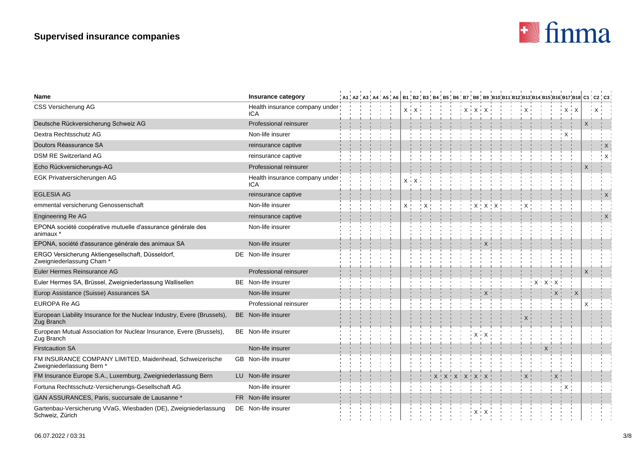

| Name                                                                                      | Insurance category                           |  |  |  |              |  |  |  |          |  |  |  |         |                | ,A1,A2,A3,A4,A5,A6 B1,B2,B3,B4,B5,B6,B7,B8,B9,B10,B11,B12,B13,B14,B15,B16,B17,B18  C1,C2,C3 |
|-------------------------------------------------------------------------------------------|----------------------------------------------|--|--|--|--------------|--|--|--|----------|--|--|--|---------|----------------|---------------------------------------------------------------------------------------------|
| CSS Versicherung AG                                                                       | Health insurance company under<br>ICA        |  |  |  | $X \times X$ |  |  |  | $+X+X+X$ |  |  |  | + Χ + Χ |                | X                                                                                           |
| Deutsche Rückversicherung Schweiz AG                                                      | Professional reinsurer                       |  |  |  |              |  |  |  |          |  |  |  |         |                | X                                                                                           |
| Dextra Rechtsschutz AG                                                                    | Non-life insurer                             |  |  |  |              |  |  |  |          |  |  |  |         |                |                                                                                             |
| Doutors Réassurance SA                                                                    | reinsurance captive                          |  |  |  |              |  |  |  |          |  |  |  |         |                | <u>'</u> X                                                                                  |
| <b>DSM RE Switzerland AG</b>                                                              | reinsurance captive                          |  |  |  |              |  |  |  |          |  |  |  |         |                | <u>'</u> X                                                                                  |
| Echo Rückversicherungs-AG                                                                 | Professional reinsurer                       |  |  |  |              |  |  |  |          |  |  |  |         |                | X                                                                                           |
| EGK Privatversicherungen AG                                                               | Health insurance company under<br><b>ICA</b> |  |  |  |              |  |  |  |          |  |  |  |         |                |                                                                                             |
| <b>EGLESIA AG</b>                                                                         | reinsurance captive                          |  |  |  |              |  |  |  |          |  |  |  |         |                |                                                                                             |
| emmental versicherung Genossenschaft                                                      | Non-life insurer                             |  |  |  |              |  |  |  |          |  |  |  |         |                |                                                                                             |
| Engineering Re AG                                                                         | reinsurance captive                          |  |  |  |              |  |  |  |          |  |  |  |         |                |                                                                                             |
| EPONA société coopérative mutuelle d'assurance générale des<br>animaux *                  | Non-life insurer                             |  |  |  |              |  |  |  |          |  |  |  |         |                |                                                                                             |
| EPONA, société d'assurance générale des animaux SA                                        | Non-life insurer                             |  |  |  |              |  |  |  |          |  |  |  |         |                |                                                                                             |
| ERGO Versicherung Aktiengesellschaft, Düsseldorf,<br>Zweigniederlassung Cham <sup>*</sup> | DE Non-life insurer                          |  |  |  |              |  |  |  |          |  |  |  |         |                |                                                                                             |
| Euler Hermes Reinsurance AG                                                               | Professional reinsurer                       |  |  |  |              |  |  |  |          |  |  |  |         |                |                                                                                             |
| Euler Hermes SA, Brüssel, Zweigniederlassung Wallisellen                                  | BE Non-life insurer                          |  |  |  |              |  |  |  |          |  |  |  |         |                |                                                                                             |
| Europ Assistance (Suisse) Assurances SA                                                   | Non-life insurer                             |  |  |  |              |  |  |  |          |  |  |  |         | $\mathbf{X}^+$ |                                                                                             |
| <b>EUROPA Re AG</b>                                                                       | Professional reinsurer                       |  |  |  |              |  |  |  |          |  |  |  |         |                |                                                                                             |
| European Liability Insurance for the Nuclear Industry, Evere (Brussels),<br>Zug Branch    | BE Non-life insurer                          |  |  |  |              |  |  |  |          |  |  |  |         |                |                                                                                             |
| European Mutual Association for Nuclear Insurance, Evere (Brussels),<br>Zug Branch        | BE Non-life insurer                          |  |  |  |              |  |  |  |          |  |  |  |         |                |                                                                                             |
| <b>Firstcaution SA</b>                                                                    | Non-life insurer                             |  |  |  |              |  |  |  |          |  |  |  |         |                |                                                                                             |
| FM INSURANCE COMPANY LIMITED, Maidenhead, Schweizerische<br>Zweigniederlassung Bern *     | GB Non-life insurer                          |  |  |  |              |  |  |  |          |  |  |  |         |                |                                                                                             |
| FM Insurance Europe S.A., Luxemburg, Zweigniederlassung Bern                              | LU Non-life insurer                          |  |  |  |              |  |  |  |          |  |  |  |         |                |                                                                                             |
| Fortuna Rechtsschutz-Versicherungs-Gesellschaft AG                                        | Non-life insurer                             |  |  |  |              |  |  |  |          |  |  |  |         |                |                                                                                             |
| GAN ASSURANCES, Paris, succursale de Lausanne *                                           | FR Non-life insurer                          |  |  |  |              |  |  |  |          |  |  |  |         |                |                                                                                             |
| Gartenbau-Versicherung VVaG, Wiesbaden (DE), Zweigniederlassung<br>Schweiz, Zürich        | DE Non-life insurer                          |  |  |  |              |  |  |  |          |  |  |  |         |                |                                                                                             |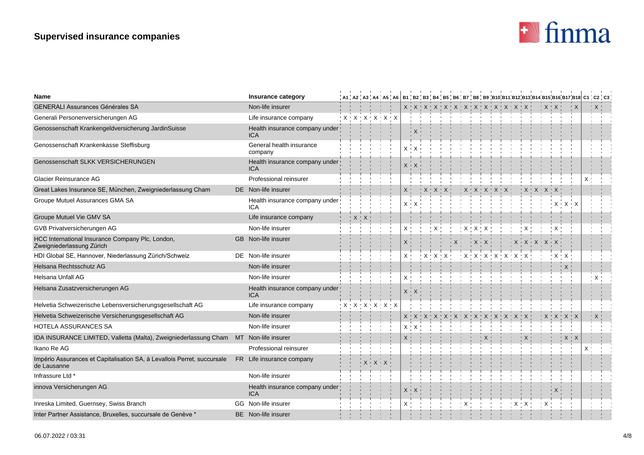

| <b>Name</b>                                                                            | Insurance category                           |  |                                                                 |  |   |                               |           |  |  |                                                                 |  |  |               |  | , A1 , A2 , A3 , A4 , A5 , A6   B1 , B2 , B3 , B4 , B5 , B6 , B7 , B8 , B9 ,B10,B11,B12,B13,B14,B15,B16,B17,B18 C1 , C2 , C3 |
|----------------------------------------------------------------------------------------|----------------------------------------------|--|-----------------------------------------------------------------|--|---|-------------------------------|-----------|--|--|-----------------------------------------------------------------|--|--|---------------|--|------------------------------------------------------------------------------------------------------------------------------|
| <b>GENERALI Assurances Générales SA</b>                                                | Non-life insurer                             |  |                                                                 |  |   |                               |           |  |  |                                                                 |  |  |               |  |                                                                                                                              |
| Generali Personenversicherungen AG                                                     | Life insurance company                       |  | ! X ! X ! X ! X ! X ! X                                         |  |   |                               |           |  |  |                                                                 |  |  |               |  |                                                                                                                              |
| Genossenschaft Krankengeldversicherung JardinSuisse                                    | Health insurance company under<br><b>ICA</b> |  |                                                                 |  |   |                               |           |  |  |                                                                 |  |  |               |  |                                                                                                                              |
| Genossenschaft Krankenkasse Steffisburg                                                | General health insurance<br>company          |  |                                                                 |  |   |                               |           |  |  |                                                                 |  |  |               |  |                                                                                                                              |
| Genossenschaft SLKK VERSICHERUNGEN                                                     | Health insurance company under<br><b>ICA</b> |  |                                                                 |  |   |                               |           |  |  |                                                                 |  |  |               |  |                                                                                                                              |
| Glacier Reinsurance AG                                                                 | Professional reinsurer                       |  |                                                                 |  |   |                               |           |  |  |                                                                 |  |  |               |  |                                                                                                                              |
| Great Lakes Insurance SE, München, Zweigniederlassung Cham                             | DE Non-life insurer                          |  |                                                                 |  |   |                               | ' X ' X ' |  |  |                                                                 |  |  |               |  |                                                                                                                              |
| Groupe Mutuel Assurances GMA SA                                                        | Health insurance company under<br><b>ICA</b> |  |                                                                 |  | Х |                               |           |  |  |                                                                 |  |  |               |  |                                                                                                                              |
| Groupe Mutuel Vie GMV SA                                                               | Life insurance company                       |  |                                                                 |  |   |                               |           |  |  |                                                                 |  |  |               |  |                                                                                                                              |
| GVB Privatversicherungen AG                                                            | Non-life insurer                             |  |                                                                 |  |   |                               |           |  |  |                                                                 |  |  |               |  |                                                                                                                              |
| HCC International Insurance Company Plc, London,<br>Zweigniederlassung Zürich          | GB Non-life insurer                          |  |                                                                 |  |   |                               |           |  |  |                                                                 |  |  |               |  |                                                                                                                              |
| HDI Global SE, Hannover, Niederlassung Zürich/Schweiz                                  | DE Non-life insurer                          |  |                                                                 |  |   |                               |           |  |  | $X$ $\cdot$ $X$ $\cdot$ $X$ $\cdot$ $X$ $\cdot$ $X$ $\cdot$ $X$ |  |  |               |  |                                                                                                                              |
| Helsana Rechtsschutz AG                                                                | Non-life insurer                             |  |                                                                 |  |   |                               |           |  |  |                                                                 |  |  |               |  |                                                                                                                              |
| Helsana Unfall AG                                                                      | Non-life insurer                             |  |                                                                 |  |   |                               |           |  |  |                                                                 |  |  |               |  | $\cdot$ X                                                                                                                    |
| Helsana Zusatzversicherungen AG                                                        | Health insurance company under<br><b>ICA</b> |  |                                                                 |  |   |                               |           |  |  |                                                                 |  |  |               |  |                                                                                                                              |
| Helvetia Schweizerische Lebensversicherungsgesellschaft AG                             | Life insurance company                       |  | $X$ $\cdot$ $X$ $\cdot$ $X$ $\cdot$ $X$ $\cdot$ $X$ $\cdot$ $X$ |  |   |                               |           |  |  |                                                                 |  |  |               |  |                                                                                                                              |
| Helvetia Schweizerische Versicherungsgesellschaft AG                                   | Non-life insurer                             |  |                                                                 |  |   |                               |           |  |  |                                                                 |  |  | X   X   X   X |  | $\propto$                                                                                                                    |
| HOTELA ASSURANCES SA                                                                   | Non-life insurer                             |  |                                                                 |  |   | $X$ $\uparrow$ $X$ $\uparrow$ |           |  |  |                                                                 |  |  |               |  |                                                                                                                              |
| IDA INSURANCE LIMITED, Valletta (Malta), Zweigniederlassung Cham                       | MT Non-life insurer                          |  |                                                                 |  |   |                               |           |  |  |                                                                 |  |  |               |  |                                                                                                                              |
| Ikano Re AG                                                                            | Professional reinsurer                       |  |                                                                 |  |   |                               |           |  |  |                                                                 |  |  |               |  |                                                                                                                              |
| Império Assurances et Capitalisation SA, à Levallois Perret, succursale<br>de Lausanne | FR Life insurance company                    |  |                                                                 |  |   |                               |           |  |  |                                                                 |  |  |               |  |                                                                                                                              |
| Infrassure Ltd *                                                                       | Non-life insurer                             |  |                                                                 |  |   |                               |           |  |  |                                                                 |  |  |               |  |                                                                                                                              |
| innova Versicherungen AG                                                               | Health insurance company under<br><b>ICA</b> |  |                                                                 |  | X |                               |           |  |  |                                                                 |  |  |               |  |                                                                                                                              |
| Inreska Limited, Guernsey, Swiss Branch                                                | GG Non-life insurer                          |  |                                                                 |  |   |                               |           |  |  |                                                                 |  |  |               |  |                                                                                                                              |
| Inter Partner Assistance, Bruxelles, succursale de Genève *                            | <b>BE</b> Non-life insurer                   |  |                                                                 |  |   |                               |           |  |  |                                                                 |  |  |               |  |                                                                                                                              |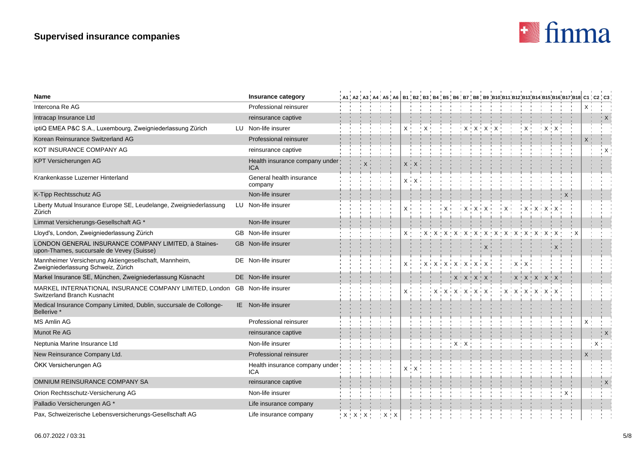

| <b>Name</b>                                                                                                | Insurance category                           |  |                             |                                 |       |  |  |                                                                                                                                                          |  |  |            |                         |  |   | , A1 , A2 , A3 , A4 , A5 , A6   B1 , B2 , B3 , B4 , B5 , B6 , B7 , B8 , B9 ,B10,B11,B12,B13,B14,B15,B16,B17,B18 C1 , C2 , C3 |
|------------------------------------------------------------------------------------------------------------|----------------------------------------------|--|-----------------------------|---------------------------------|-------|--|--|----------------------------------------------------------------------------------------------------------------------------------------------------------|--|--|------------|-------------------------|--|---|------------------------------------------------------------------------------------------------------------------------------|
| Intercona Re AG                                                                                            | Professional reinsurer                       |  |                             |                                 |       |  |  |                                                                                                                                                          |  |  |            |                         |  |   |                                                                                                                              |
| Intracap Insurance Ltd                                                                                     | reinsurance captive                          |  |                             |                                 |       |  |  |                                                                                                                                                          |  |  |            |                         |  |   | $\frac{1}{2}$ X                                                                                                              |
| iptiQ EMEA P&C S.A., Luxembourg, Zweigniederlassung Zürich                                                 | LU Non-life insurer                          |  |                             |                                 |       |  |  |                                                                                                                                                          |  |  |            |                         |  |   |                                                                                                                              |
| Korean Reinsurance Switzerland AG                                                                          | Professional reinsurer                       |  |                             |                                 |       |  |  |                                                                                                                                                          |  |  |            |                         |  |   |                                                                                                                              |
| KOT INSURANCE COMPANY AG                                                                                   | reinsurance captive                          |  |                             |                                 |       |  |  |                                                                                                                                                          |  |  |            |                         |  |   | $\cdot$ X                                                                                                                    |
| KPT Versicherungen AG                                                                                      | Health insurance company under<br>ICA        |  |                             |                                 | $X +$ |  |  |                                                                                                                                                          |  |  |            |                         |  |   |                                                                                                                              |
| Krankenkasse Luzerner Hinterland                                                                           | General health insurance<br>company          |  |                             |                                 | X +   |  |  |                                                                                                                                                          |  |  |            |                         |  |   |                                                                                                                              |
| K-Tipp Rechtsschutz AG                                                                                     | Non-life insurer                             |  |                             |                                 |       |  |  |                                                                                                                                                          |  |  |            |                         |  |   |                                                                                                                              |
| Liberty Mutual Insurance Europe SE, Leudelange, Zweigniederlassung<br>Zürich                               | LU Non-life insurer                          |  |                             |                                 |       |  |  |                                                                                                                                                          |  |  |            |                         |  |   |                                                                                                                              |
| Limmat Versicherungs-Gesellschaft AG *                                                                     | Non-life insurer                             |  |                             |                                 |       |  |  |                                                                                                                                                          |  |  |            |                         |  |   |                                                                                                                              |
| Lloyd's, London, Zweigniederlassung Zürich                                                                 | GB Non-life insurer                          |  |                             |                                 | Χ'    |  |  |                                                                                                                                                          |  |  |            |                         |  |   |                                                                                                                              |
| LONDON GENERAL INSURANCE COMPANY LIMITED, à Staines-<br>upon-Thames, succursale de Vevey (Suisse)          | GB Non-life insurer                          |  |                             |                                 |       |  |  |                                                                                                                                                          |  |  |            |                         |  |   |                                                                                                                              |
| Mannheimer Versicherung Aktiengesellschaft, Mannheim,<br>Zweigniederlassung Schweiz, Zürich                | DE Non-life insurer                          |  |                             |                                 | $X +$ |  |  | $\vdash \mathsf{X} \vdash \mathsf{X} \vdash \mathsf{X} \vdash \mathsf{X} \vdash \mathsf{X} \vdash \mathsf{X} \vdash \mathsf{X} \vdash \mathsf{X} \vdash$ |  |  |            |                         |  |   |                                                                                                                              |
| Markel Insurance SE, München, Zweigniederlassung Küsnacht                                                  | DE Non-life insurer                          |  |                             |                                 |       |  |  | $X$ $X$ $X$ $X$ $X$ $Y$                                                                                                                                  |  |  |            | $X$ $X$ $X$ $X$ $X$ $X$ |  |   |                                                                                                                              |
| MARKEL INTERNATIONAL INSURANCE COMPANY LIMITED, London. GB Non-life insurer<br>Switzerland Branch Kusnacht |                                              |  |                             |                                 | X     |  |  | $\mathbf{X} \times \mathbf{X} + \mathbf{X} + \mathbf{X} + \mathbf{X} + \mathbf{X}$                                                                       |  |  | $+X+X+X+X$ |                         |  |   |                                                                                                                              |
| Medical Insurance Company Limited, Dublin, succursale de Collonge-<br>Bellerive *                          | IE Non-life insurer                          |  |                             |                                 |       |  |  |                                                                                                                                                          |  |  |            |                         |  |   |                                                                                                                              |
| <b>MS Amlin AG</b>                                                                                         | Professional reinsurer                       |  |                             |                                 |       |  |  |                                                                                                                                                          |  |  |            |                         |  |   |                                                                                                                              |
| Munot Re AG                                                                                                | reinsurance captive                          |  |                             |                                 |       |  |  |                                                                                                                                                          |  |  |            |                         |  |   | $\mathbb{R}^n$ X                                                                                                             |
| Neptunia Marine Insurance Ltd                                                                              | Non-life insurer                             |  |                             |                                 |       |  |  | $X$ $\cdot$ $X$                                                                                                                                          |  |  |            |                         |  |   | $X^+$                                                                                                                        |
| New Reinsurance Company Ltd.                                                                               | Professional reinsurer                       |  |                             |                                 |       |  |  |                                                                                                                                                          |  |  |            |                         |  | X |                                                                                                                              |
| ÖKK Versicherungen AG                                                                                      | Health insurance company under<br><b>ICA</b> |  |                             |                                 |       |  |  |                                                                                                                                                          |  |  |            |                         |  |   |                                                                                                                              |
| OMNIUM REINSURANCE COMPANY SA                                                                              | reinsurance captive                          |  |                             |                                 |       |  |  |                                                                                                                                                          |  |  |            |                         |  |   | $\mathsf{X}$                                                                                                                 |
| Orion Rechtsschutz-Versicherung AG                                                                         | Non-life insurer                             |  |                             |                                 |       |  |  |                                                                                                                                                          |  |  |            |                         |  |   |                                                                                                                              |
| Palladio Versicherungen AG *                                                                               | Life insurance company                       |  |                             |                                 |       |  |  |                                                                                                                                                          |  |  |            |                         |  |   |                                                                                                                              |
| Pax, Schweizerische Lebensversicherungs-Gesellschaft AG                                                    | Life insurance company                       |  | $'$ $X$ $'$ $X$ $'$ $X$ $'$ | $\frac{1}{2}$ X $\frac{1}{2}$ X |       |  |  |                                                                                                                                                          |  |  |            |                         |  |   |                                                                                                                              |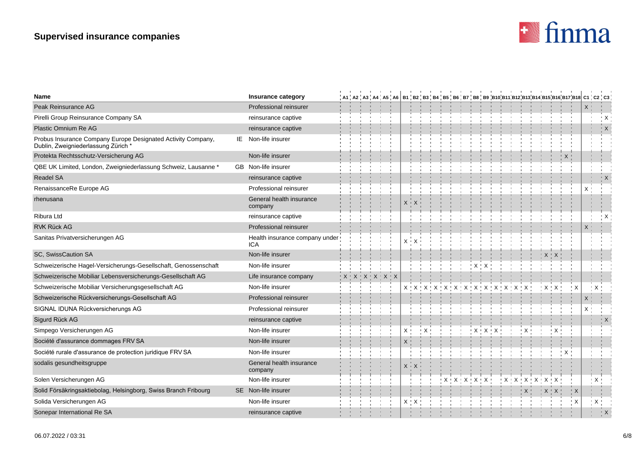

| <b>Name</b>                                                                                        | Insurance category                           |  |                                 |  |             | A1   A2   A3   A4   A5   A6   B1   B2   B3   B4   B5   B6   B7   B8   B9  B10 B11 B12 B13 B14 B15 B16 B17 B18  C1   C2   C3 |                             |         |  |               |  |  |          |   |              |              |
|----------------------------------------------------------------------------------------------------|----------------------------------------------|--|---------------------------------|--|-------------|-----------------------------------------------------------------------------------------------------------------------------|-----------------------------|---------|--|---------------|--|--|----------|---|--------------|--------------|
| Peak Reinsurance AG                                                                                | Professional reinsurer                       |  |                                 |  |             |                                                                                                                             |                             |         |  |               |  |  |          |   | X            |              |
| Pirelli Group Reinsurance Company SA                                                               | reinsurance captive                          |  |                                 |  |             |                                                                                                                             |                             |         |  |               |  |  |          |   |              | ĻΧ           |
| Plastic Omnium Re AG                                                                               | reinsurance captive                          |  |                                 |  |             |                                                                                                                             |                             |         |  |               |  |  |          |   |              | $\mathsf{K}$ |
| Probus Insurance Company Europe Designated Activity Company,<br>Dublin, Zweigniederlassung Zürich* | IE Non-life insurer                          |  |                                 |  |             |                                                                                                                             |                             |         |  |               |  |  |          |   |              |              |
| Protekta Rechtsschutz-Versicherung AG                                                              | Non-life insurer                             |  |                                 |  |             |                                                                                                                             |                             |         |  |               |  |  |          |   |              |              |
| QBE UK Limited, London, Zweigniederlassung Schweiz, Lausanne *                                     | GB Non-life insurer                          |  |                                 |  |             |                                                                                                                             |                             |         |  |               |  |  |          |   |              |              |
| <b>Readel SA</b>                                                                                   | reinsurance captive                          |  |                                 |  |             |                                                                                                                             |                             |         |  |               |  |  |          |   |              | ∣X           |
| RenaissanceRe Europe AG                                                                            | Professional reinsurer                       |  |                                 |  |             |                                                                                                                             |                             |         |  |               |  |  |          |   | X            |              |
| rhenusana                                                                                          | General health insurance<br>company          |  |                                 |  |             |                                                                                                                             |                             |         |  |               |  |  |          |   |              |              |
| Ribura Ltd                                                                                         | reinsurance captive                          |  |                                 |  |             |                                                                                                                             |                             |         |  |               |  |  |          |   |              |              |
| <b>RVK Rück AG</b>                                                                                 | Professional reinsurer                       |  |                                 |  |             |                                                                                                                             |                             |         |  |               |  |  |          |   |              |              |
| Sanitas Privatversicherungen AG                                                                    | Health insurance company under<br><b>ICA</b> |  |                                 |  |             |                                                                                                                             |                             |         |  |               |  |  |          |   |              |              |
| SC, SwissCaution SA                                                                                | Non-life insurer                             |  |                                 |  |             |                                                                                                                             |                             |         |  |               |  |  |          |   |              |              |
| Schweizerische Hagel-Versicherungs-Gesellschaft, Genossenschaft                                    | Non-life insurer                             |  |                                 |  |             |                                                                                                                             |                             | $X + X$ |  |               |  |  |          |   |              |              |
| Schweizerische Mobiliar Lebensversicherungs-Gesellschaft AG                                        | Life insurance company                       |  | $X$ $X$ $X$ $X$ $X$ $X$ $X$ $X$ |  |             |                                                                                                                             |                             |         |  |               |  |  |          |   |              |              |
| Schweizerische Mobiliar Versicherungsgesellschaft AG                                               | Non-life insurer                             |  |                                 |  |             |                                                                                                                             |                             |         |  |               |  |  |          | X | $\mathbf{X}$ |              |
| Schweizerische Rückversicherungs-Gesellschaft AG                                                   | Professional reinsurer                       |  |                                 |  |             |                                                                                                                             |                             |         |  |               |  |  |          |   | X.           |              |
| SIGNAL IDUNA Rückversicherungs AG                                                                  | Professional reinsurer                       |  |                                 |  |             |                                                                                                                             |                             |         |  |               |  |  |          |   | X            |              |
| Sigurd Rück AG                                                                                     | reinsurance captive                          |  |                                 |  |             |                                                                                                                             |                             |         |  |               |  |  |          |   |              | <u>"</u> X   |
| Simpego Versicherungen AG                                                                          | Non-life insurer                             |  |                                 |  |             |                                                                                                                             |                             |         |  |               |  |  |          |   |              |              |
| Société d'assurance dommages FRV SA                                                                | Non-life insurer                             |  |                                 |  |             |                                                                                                                             |                             |         |  |               |  |  |          |   |              |              |
| Société rurale d'assurance de protection juridique FRV SA                                          | Non-life insurer                             |  |                                 |  |             |                                                                                                                             |                             |         |  |               |  |  |          |   |              |              |
| sodalis gesundheitsgruppe                                                                          | General health insurance<br>company          |  |                                 |  |             |                                                                                                                             |                             |         |  |               |  |  |          |   |              |              |
| Solen Versicherungen AG                                                                            | Non-life insurer                             |  |                                 |  |             |                                                                                                                             | $X$ $X$ $X$ $X$ $X$ $X$ $Y$ |         |  | X   X   X   X |  |  |          |   | $\mathsf{X}$ |              |
| Solid Försäkringsaktiebolag, Helsingborg, Swiss Branch Fribourg                                    | SE Non-life insurer                          |  |                                 |  |             |                                                                                                                             |                             |         |  |               |  |  | " X      |   |              |              |
| Solida Versicherungen AG                                                                           | Non-life insurer                             |  |                                 |  | $X \perp X$ |                                                                                                                             |                             |         |  |               |  |  | $\times$ |   | ! X          |              |
| Sonepar International Re SA                                                                        | reinsurance captive                          |  |                                 |  |             |                                                                                                                             |                             |         |  |               |  |  |          |   |              |              |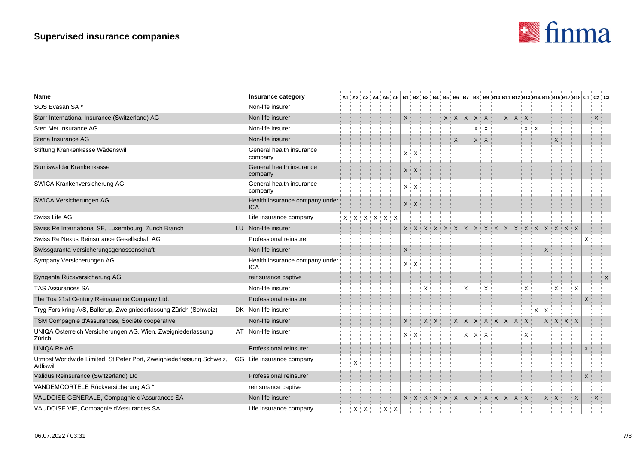# **Supervised insurance companies**



| <b>Name</b>                                                                      | Insurance category                           |  |                                     |  |         |  |             |                             |  |                                      |         |  |                                |  |  | , A1 , A2 , A3 , A4 , A5 , A6 │B1 , B2 , B3 , B4 , B5 , B6 , B7 , B8 , B9 ,B10,B11,B12,B13,B14,B15,B16,B17,B18 C1 , C2 , C3 , |             |              |  |
|----------------------------------------------------------------------------------|----------------------------------------------|--|-------------------------------------|--|---------|--|-------------|-----------------------------|--|--------------------------------------|---------|--|--------------------------------|--|--|-------------------------------------------------------------------------------------------------------------------------------|-------------|--------------|--|
| SOS Evasan SA*                                                                   | Non-life insurer                             |  |                                     |  |         |  |             |                             |  |                                      |         |  |                                |  |  |                                                                                                                               |             |              |  |
| Starr International Insurance (Switzerland) AG                                   | Non-life insurer                             |  |                                     |  |         |  |             | $X$ $X$ $X$ $X$ $X$ $X$ $Y$ |  |                                      |         |  | $\mathsf{X} \times \mathsf{X}$ |  |  |                                                                                                                               |             | " X "        |  |
| Sten Met Insurance AG                                                            | Non-life insurer                             |  |                                     |  |         |  |             |                             |  |                                      | $+X+X+$ |  |                                |  |  |                                                                                                                               |             |              |  |
| Stena Insurance AG                                                               | Non-life insurer                             |  |                                     |  |         |  |             |                             |  | $\uparrow$ X $\uparrow$ X $\uparrow$ |         |  |                                |  |  |                                                                                                                               |             |              |  |
| Stiftung Krankenkasse Wädenswil                                                  | General health insurance<br>company          |  |                                     |  |         |  |             |                             |  |                                      |         |  |                                |  |  |                                                                                                                               |             |              |  |
| Sumiswalder Krankenkasse                                                         | General health insurance<br>company          |  |                                     |  |         |  |             |                             |  |                                      |         |  |                                |  |  |                                                                                                                               |             |              |  |
| SWICA Krankenversicherung AG                                                     | General health insurance<br>company          |  |                                     |  | X +     |  |             |                             |  |                                      |         |  |                                |  |  |                                                                                                                               |             |              |  |
| SWICA Versicherungen AG                                                          | Health insurance company under<br><b>ICA</b> |  |                                     |  |         |  |             |                             |  |                                      |         |  |                                |  |  |                                                                                                                               |             |              |  |
| Swiss Life AG                                                                    | Life insurance company                       |  | $X$ $X$ $X$ $X$ $X$ $X$ $X$ $X$ $X$ |  |         |  |             |                             |  |                                      |         |  |                                |  |  |                                                                                                                               |             |              |  |
| Swiss Re International SE, Luxembourg, Zurich Branch                             | LU Non-life insurer                          |  |                                     |  |         |  |             |                             |  |                                      |         |  |                                |  |  |                                                                                                                               |             |              |  |
| Swiss Re Nexus Reinsurance Gesellschaft AG                                       | Professional reinsurer                       |  |                                     |  |         |  |             |                             |  |                                      |         |  |                                |  |  |                                                                                                                               | $X$ $\cdot$ |              |  |
| Swissgaranta Versicherungsgenossenschaft                                         | Non-life insurer                             |  |                                     |  |         |  |             |                             |  |                                      |         |  |                                |  |  |                                                                                                                               |             |              |  |
| Sympany Versicherungen AG                                                        | Health insurance company under<br><b>ICA</b> |  |                                     |  | $X + X$ |  |             |                             |  |                                      |         |  |                                |  |  |                                                                                                                               |             |              |  |
| Syngenta Rückversicherung AG                                                     | reinsurance captive                          |  |                                     |  |         |  |             |                             |  |                                      |         |  |                                |  |  |                                                                                                                               |             |              |  |
| <b>TAS Assurances SA</b>                                                         | Non-life insurer                             |  |                                     |  |         |  |             |                             |  |                                      |         |  |                                |  |  |                                                                                                                               |             |              |  |
| The Toa 21st Century Reinsurance Company Ltd.                                    | Professional reinsurer                       |  |                                     |  |         |  |             |                             |  |                                      |         |  |                                |  |  |                                                                                                                               |             |              |  |
| Tryg Forsikring A/S, Ballerup, Zweigniederlassung Zürich (Schweiz)               | DK Non-life insurer                          |  |                                     |  |         |  |             |                             |  |                                      |         |  |                                |  |  |                                                                                                                               |             |              |  |
| TSM Compagnie d'Assurances, Société coopérative                                  | Non-life insurer                             |  |                                     |  |         |  | ' X ' X ' - |                             |  |                                      |         |  |                                |  |  |                                                                                                                               |             |              |  |
| UNIQA Österreich Versicherungen AG, Wien, Zweigniederlassung<br>Zürich           | AT Non-life insurer                          |  |                                     |  |         |  |             |                             |  |                                      |         |  |                                |  |  |                                                                                                                               |             |              |  |
| <b>UNIQA Re AG</b>                                                               | Professional reinsurer                       |  |                                     |  |         |  |             |                             |  |                                      |         |  |                                |  |  |                                                                                                                               |             |              |  |
| Utmost Worldwide Limited, St Peter Port, Zweigniederlassung Schweiz,<br>Adliswil | GG Life insurance company                    |  |                                     |  |         |  |             |                             |  |                                      |         |  |                                |  |  |                                                                                                                               |             |              |  |
| Validus Reinsurance (Switzerland) Ltd                                            | Professional reinsurer                       |  |                                     |  |         |  |             |                             |  |                                      |         |  |                                |  |  |                                                                                                                               |             |              |  |
| VANDEMOORTELE Rückversicherung AG *                                              | reinsurance captive                          |  |                                     |  |         |  |             |                             |  |                                      |         |  |                                |  |  |                                                                                                                               |             |              |  |
| VAUDOISE GENERALE, Compagnie d'Assurances SA                                     | Non-life insurer                             |  |                                     |  |         |  |             |                             |  |                                      |         |  |                                |  |  |                                                                                                                               |             | $\mathsf{X}$ |  |
| VAUDOISE VIE, Compagnie d'Assurances SA                                          | Life insurance company                       |  | $X$ $X$ $Y$ $Y$ $X$ $X$             |  |         |  |             |                             |  |                                      |         |  |                                |  |  |                                                                                                                               |             |              |  |